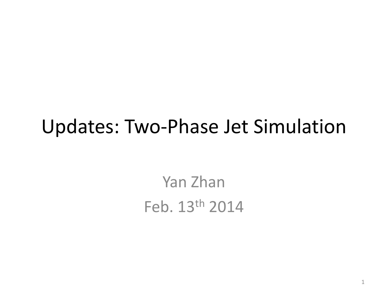### Updates: Two‐Phase Jet Simulation

Yan Zhan Feb. 13th 2014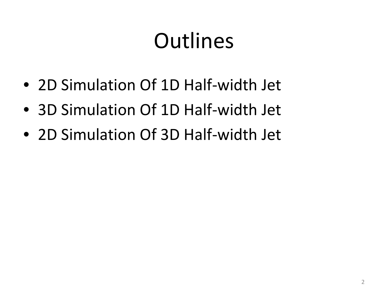## Outlines

- 2D Simulation Of 1D Half-width Jet
- 3D Simulation Of 1D Half-width Jet
- 2D Simulation Of 3D Half-width Jet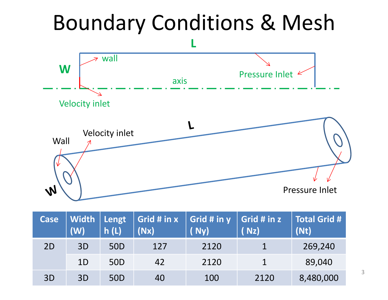## Boundary Conditions & Mesh



| <b>Case</b> | Width<br>(W)   | Lengt<br>h(L)   | Grid # in x<br>(Nx) | $\vert$ Grid # in y $\vert$ Grid # in z<br>(Ny) | (Nz) | Total Grid #<br>(Nt) |
|-------------|----------------|-----------------|---------------------|-------------------------------------------------|------|----------------------|
| 2D          | 3D             | 50D             | 127                 | 2120                                            |      | 269,240              |
|             | 1 <sub>D</sub> | 50 <sub>D</sub> | 42                  | 2120                                            |      | 89,040               |
| 3D          | 3D             | 50D             | 40                  | 100                                             | 2120 | 8,480,000            |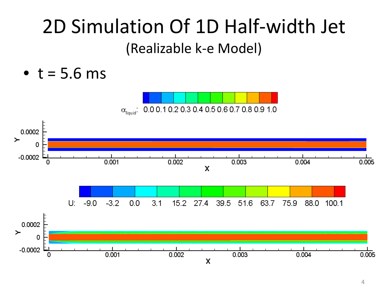### 2D Simulation Of 1D Half‐width Jet (Realizable k‐<sup>e</sup> Model)

 $\bullet$  t = 5.6 ms



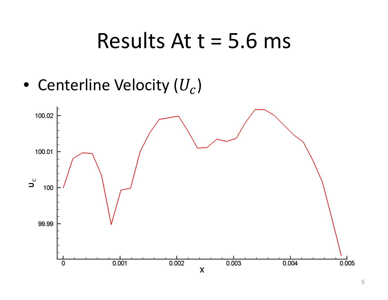### Results At t <sup>=</sup> 5.6 ms

 $\bullet~$  Centerline Velocity ( $U_{\mathcal{C}}$ )

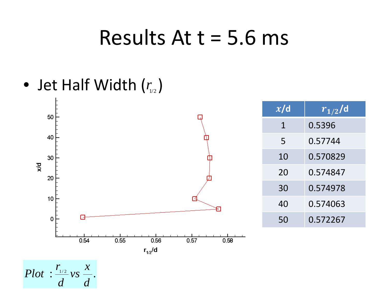### Results At t <sup>=</sup> 5.6 ms

• Jet Half Width  $(r_{1/2})$ 

*d*

*d*

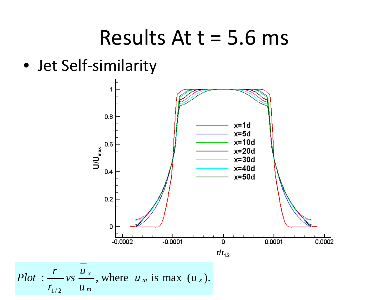### Results At t <sup>=</sup> 5.6 ms

• Jet Self‐similarity

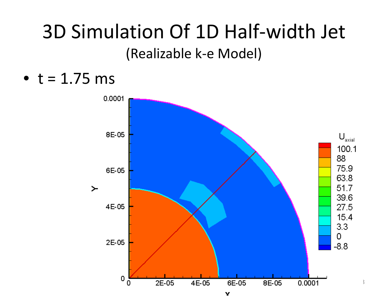### 3D Simulation Of 1D Half‐width Jet (Realizable k‐<sup>e</sup> Model)

 $\bullet$  t = 1.75 ms

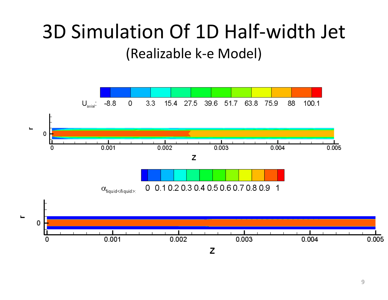### 3D Simulation Of 1D Half‐width Jet (Realizable k‐<sup>e</sup> Model)

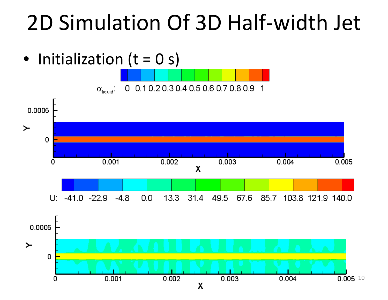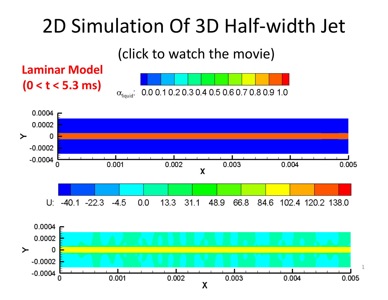#### (click to watch the movie)

#### **Laminar Model (0 <sup>&</sup>lt; <sup>t</sup> <sup>&</sup>lt; 5.3 ms)**





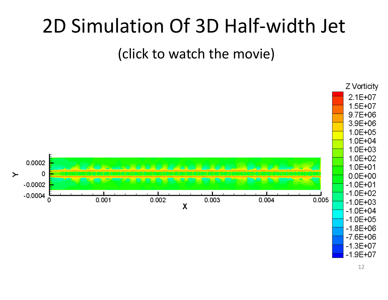(click to watch the movie)

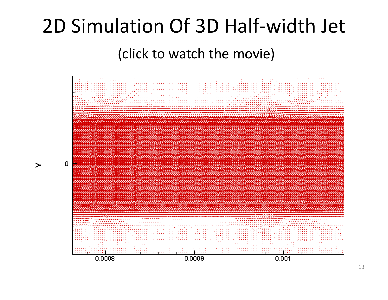#### (click to watch the movie)

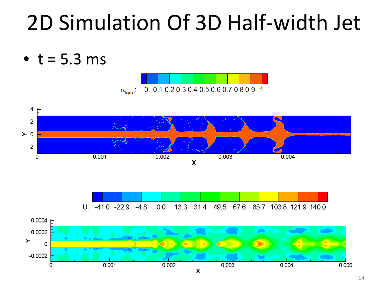

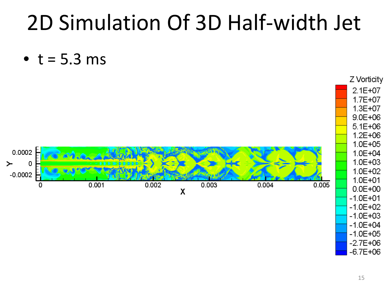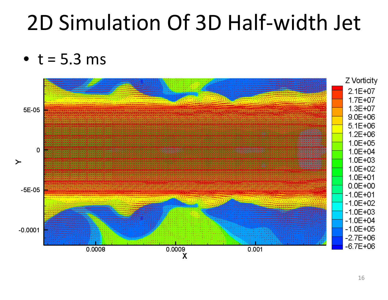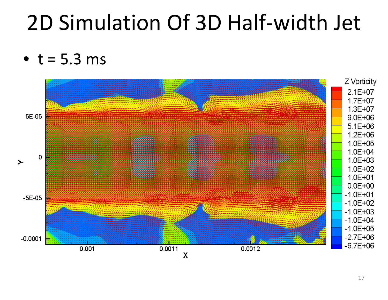